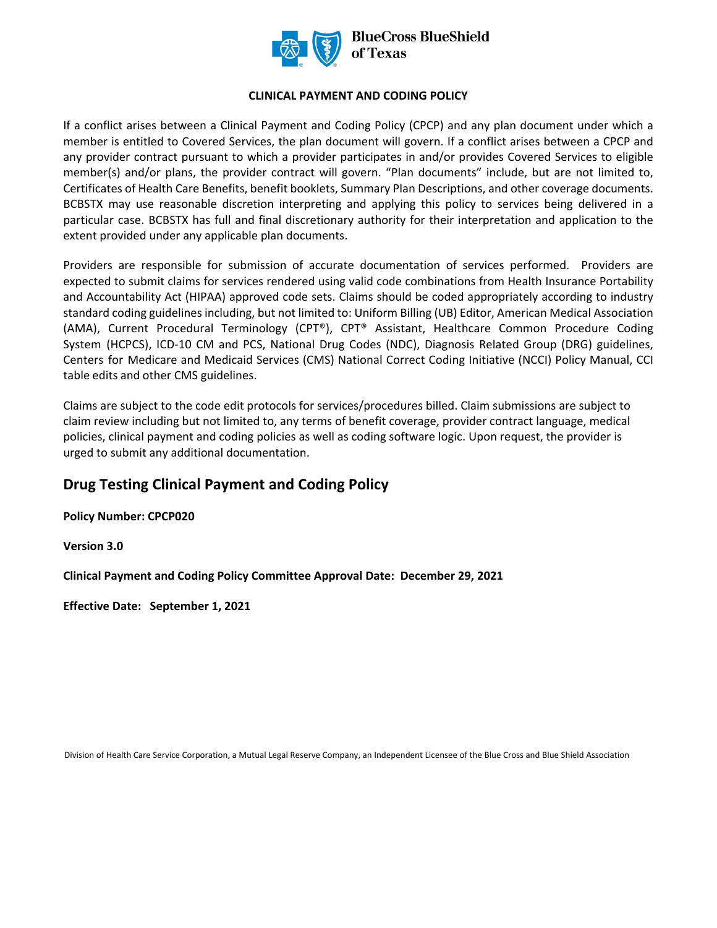

## **CLINICAL PAYMENT AND CODING POLICY**

If a conflict arises between a Clinical Payment and Coding Policy (CPCP) and any plan document under which a member is entitled to Covered Services, the plan document will govern. If a conflict arises between a CPCP and any provider contract pursuant to which a provider participates in and/or provides Covered Services to eligible member(s) and/or plans, the provider contract will govern. "Plan documents" include, but are not limited to, Certificates of Health Care Benefits, benefit booklets, Summary Plan Descriptions, and other coverage documents. BCBSTX may use reasonable discretion interpreting and applying this policy to services being delivered in a particular case. BCBSTX has full and final discretionary authority for their interpretation and application to the extent provided under any applicable plan documents.

Providers are responsible for submission of accurate documentation of services performed. Providers are expected to submit claims for services rendered using valid code combinations from Health Insurance Portability and Accountability Act (HIPAA) approved code sets. Claims should be coded appropriately according to industry standard coding guidelines including, but not limited to: Uniform Billing (UB) Editor, American Medical Association (AMA), Current Procedural Terminology (CPT®), CPT® Assistant, Healthcare Common Procedure Coding System (HCPCS), ICD-10 CM and PCS, National Drug Codes (NDC), Diagnosis Related Group (DRG) guidelines, Centers for Medicare and Medicaid Services (CMS) National Correct Coding Initiative (NCCI) Policy Manual, CCI table edits and other CMS guidelines.

Claims are subject to the code edit protocols for services/procedures billed. Claim submissions are subject to claim review including but not limited to, any terms of benefit coverage, provider contract language, medical policies, clinical payment and coding policies as well as coding software logic. Upon request, the provider is urged to submit any additional documentation.

# **Drug Testing Clinical Payment and Coding Policy**

**Policy Number: CPCP020** 

**Version 3.0** 

**Clinical Payment and Coding Policy Committee Approval Date: December 29, 2021**

**Effective Date: September 1, 2021** 

Division of Health Care Service Corporation, a Mutual Legal Reserve Company, an Independent Licensee of the Blue Cross and Blue Shield Association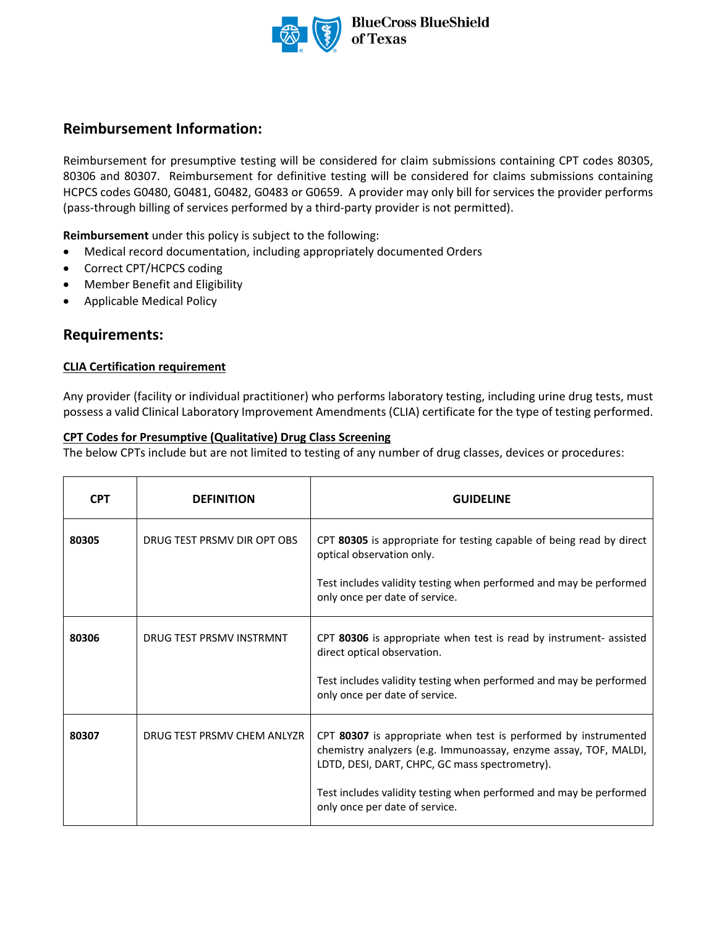

# **Reimbursement Information:**

Reimbursement for presumptive testing will be considered for claim submissions containing CPT codes 80305, 80306 and 80307. Reimbursement for definitive testing will be considered for claims submissions containing HCPCS codes G0480, G0481, G0482, G0483 or G0659. A provider may only bill for services the provider performs (pass-through billing of services performed by a third-party provider is not permitted).

**Reimbursement** under this policy is subject to the following:

- Medical record documentation, including appropriately documented Orders
- Correct CPT/HCPCS coding
- Member Benefit and Eligibility
- Applicable Medical Policy

# **Requirements:**

#### **CLIA Certification requirement**

Any provider (facility or individual practitioner) who performs laboratory testing, including urine drug tests, must possess a valid Clinical Laboratory Improvement Amendments (CLIA) certificate for the type of testing performed.

#### **CPT Codes for Presumptive (Qualitative) Drug Class Screening**

The below CPTs include but are not limited to testing of any number of drug classes, devices or procedures:

| <b>CPT</b> | <b>DEFINITION</b>           | <b>GUIDELINE</b>                                                                                                                                                                                                                                                                              |  |
|------------|-----------------------------|-----------------------------------------------------------------------------------------------------------------------------------------------------------------------------------------------------------------------------------------------------------------------------------------------|--|
| 80305      | DRUG TEST PRSMV DIR OPT OBS | CPT 80305 is appropriate for testing capable of being read by direct<br>optical observation only.<br>Test includes validity testing when performed and may be performed<br>only once per date of service.                                                                                     |  |
| 80306      | DRUG TEST PRSMV INSTRMNT    | CPT 80306 is appropriate when test is read by instrument- assisted<br>direct optical observation.<br>Test includes validity testing when performed and may be performed<br>only once per date of service.                                                                                     |  |
| 80307      | DRUG TEST PRSMV CHEM ANLYZR | CPT 80307 is appropriate when test is performed by instrumented<br>chemistry analyzers (e.g. Immunoassay, enzyme assay, TOF, MALDI,<br>LDTD, DESI, DART, CHPC, GC mass spectrometry).<br>Test includes validity testing when performed and may be performed<br>only once per date of service. |  |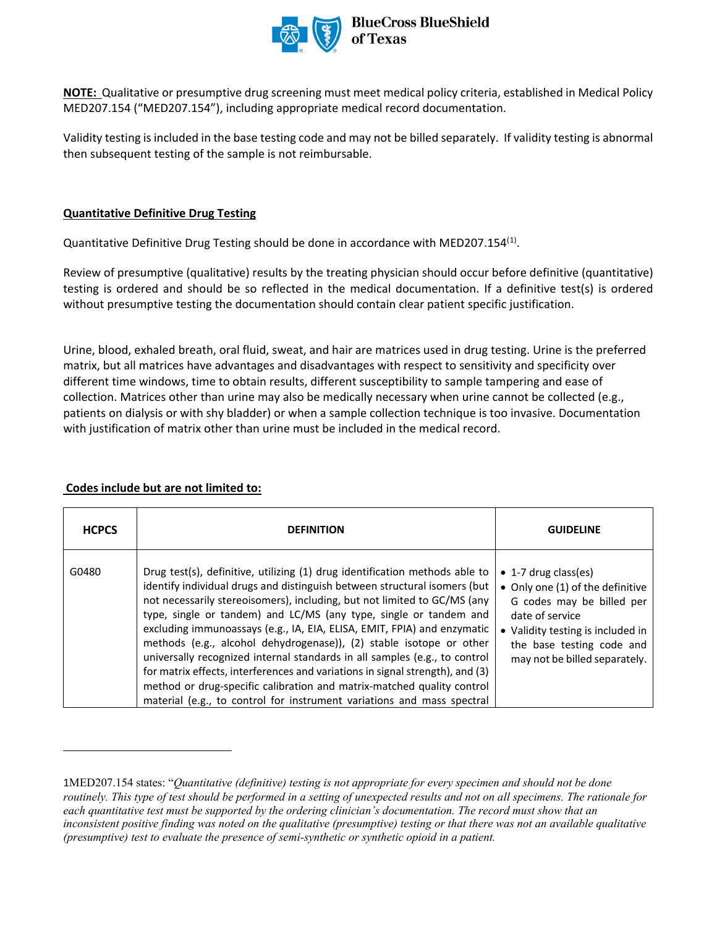

**NOTE:** Qualitative or presumptive drug screening must meet medical policy criteria, established in Medical Policy MED207.154 ("MED207.154"), including appropriate medical record documentation.

Validity testing is included in the base testing code and may not be billed separately. If validity testing is abnormal then subsequent testing of the sample is not reimbursable.

## **Quantitative Definitive Drug Testing**

Quantitative Definitive Drug Testing should be done in accordance with MED207.[1](#page-2-0)54 $^{(1)}$ .

Review of presumptive (qualitative) results by the treating physician should occur before definitive (quantitative) testing is ordered and should be so reflected in the medical documentation. If a definitive test(s) is ordered without presumptive testing the documentation should contain clear patient specific justification.

Urine, blood, exhaled breath, oral fluid, sweat, and hair are matrices used in drug testing. Urine is the preferred matrix, but all matrices have advantages and disadvantages with respect to sensitivity and specificity over different time windows, time to obtain results, different susceptibility to sample tampering and ease of collection. Matrices other than urine may also be medically necessary when urine cannot be collected (e.g., patients on dialysis or with shy bladder) or when a sample collection technique is too invasive. Documentation with justification of matrix other than urine must be included in the medical record.

## **Codes include but are not limited to:**

| <b>HCPCS</b> | <b>DEFINITION</b>                                                                                                                                                                                                                                                                                                                                                                                                                                                                                                                                                                                                                                                                                                                                                              | <b>GUIDELINE</b>                                                                                                                                                                                                    |
|--------------|--------------------------------------------------------------------------------------------------------------------------------------------------------------------------------------------------------------------------------------------------------------------------------------------------------------------------------------------------------------------------------------------------------------------------------------------------------------------------------------------------------------------------------------------------------------------------------------------------------------------------------------------------------------------------------------------------------------------------------------------------------------------------------|---------------------------------------------------------------------------------------------------------------------------------------------------------------------------------------------------------------------|
| G0480        | Drug test(s), definitive, utilizing (1) drug identification methods able to<br>identify individual drugs and distinguish between structural isomers (but<br>not necessarily stereoisomers), including, but not limited to GC/MS (any<br>type, single or tandem) and LC/MS (any type, single or tandem and<br>excluding immunoassays (e.g., IA, EIA, ELISA, EMIT, FPIA) and enzymatic<br>methods (e.g., alcohol dehydrogenase)), (2) stable isotope or other<br>universally recognized internal standards in all samples (e.g., to control<br>for matrix effects, interferences and variations in signal strength), and (3)<br>method or drug-specific calibration and matrix-matched quality control<br>material (e.g., to control for instrument variations and mass spectral | $\bullet$ 1-7 drug class(es)<br>• Only one (1) of the definitive<br>G codes may be billed per<br>date of service<br>• Validity testing is included in<br>the base testing code and<br>may not be billed separately. |

<span id="page-2-0"></span><sup>1</sup>MED207.154 states: "*Quantitative (definitive) testing is not appropriate for every specimen and should not be done routinely. This type of test should be performed in a setting of unexpected results and not on all specimens. The rationale for*  each quantitative test must be supported by the ordering clinician's documentation. The record must show that an *inconsistent positive finding was noted on the qualitative (presumptive) testing or that there was not an available qualitative (presumptive) test to evaluate the presence of semi-synthetic or synthetic opioid in a patient.*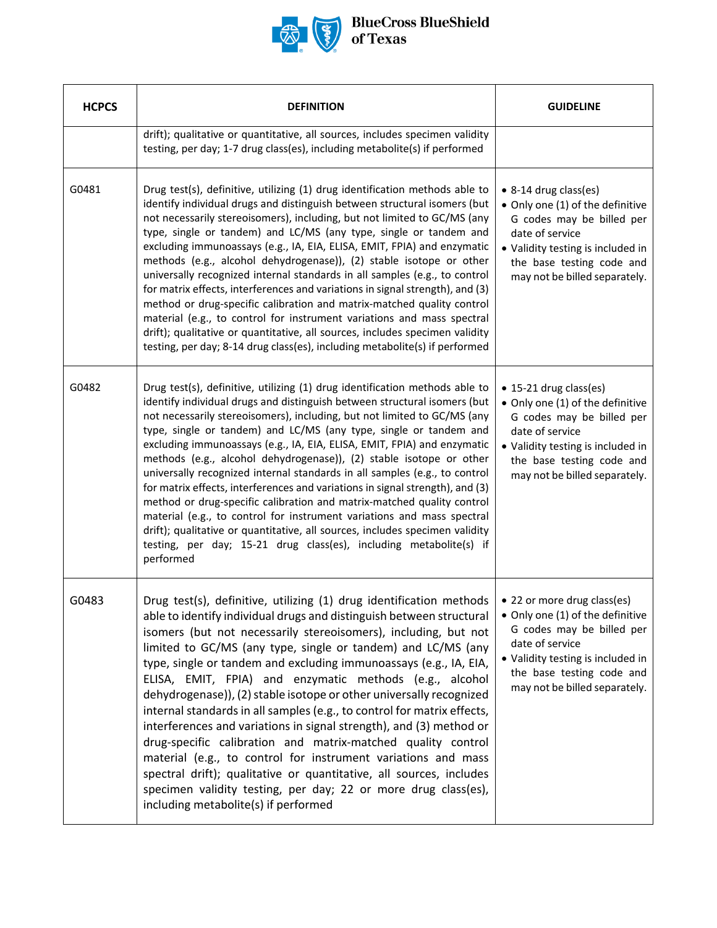

| <b>HCPCS</b> | <b>DEFINITION</b>                                                                                                                                                                                                                                                                                                                                                                                                                                                                                                                                                                                                                                                                                                                                                                                                                                                                                                                                         | <b>GUIDELINE</b>                                                                                                                                                                                                   |
|--------------|-----------------------------------------------------------------------------------------------------------------------------------------------------------------------------------------------------------------------------------------------------------------------------------------------------------------------------------------------------------------------------------------------------------------------------------------------------------------------------------------------------------------------------------------------------------------------------------------------------------------------------------------------------------------------------------------------------------------------------------------------------------------------------------------------------------------------------------------------------------------------------------------------------------------------------------------------------------|--------------------------------------------------------------------------------------------------------------------------------------------------------------------------------------------------------------------|
|              | drift); qualitative or quantitative, all sources, includes specimen validity<br>testing, per day; 1-7 drug class(es), including metabolite(s) if performed                                                                                                                                                                                                                                                                                                                                                                                                                                                                                                                                                                                                                                                                                                                                                                                                |                                                                                                                                                                                                                    |
| G0481        | Drug test(s), definitive, utilizing (1) drug identification methods able to<br>identify individual drugs and distinguish between structural isomers (but<br>not necessarily stereoisomers), including, but not limited to GC/MS (any<br>type, single or tandem) and LC/MS (any type, single or tandem and<br>excluding immunoassays (e.g., IA, EIA, ELISA, EMIT, FPIA) and enzymatic<br>methods (e.g., alcohol dehydrogenase)), (2) stable isotope or other<br>universally recognized internal standards in all samples (e.g., to control<br>for matrix effects, interferences and variations in signal strength), and (3)<br>method or drug-specific calibration and matrix-matched quality control<br>material (e.g., to control for instrument variations and mass spectral<br>drift); qualitative or quantitative, all sources, includes specimen validity<br>testing, per day; 8-14 drug class(es), including metabolite(s) if performed             | • 8-14 drug class(es)<br>• Only one (1) of the definitive<br>G codes may be billed per<br>date of service<br>• Validity testing is included in<br>the base testing code and<br>may not be billed separately.       |
| G0482        | Drug test(s), definitive, utilizing (1) drug identification methods able to<br>identify individual drugs and distinguish between structural isomers (but<br>not necessarily stereoisomers), including, but not limited to GC/MS (any<br>type, single or tandem) and LC/MS (any type, single or tandem and<br>excluding immunoassays (e.g., IA, EIA, ELISA, EMIT, FPIA) and enzymatic<br>methods (e.g., alcohol dehydrogenase)), (2) stable isotope or other<br>universally recognized internal standards in all samples (e.g., to control<br>for matrix effects, interferences and variations in signal strength), and (3)<br>method or drug-specific calibration and matrix-matched quality control<br>material (e.g., to control for instrument variations and mass spectral<br>drift); qualitative or quantitative, all sources, includes specimen validity<br>testing, per day; 15-21 drug class(es), including metabolite(s) if<br>performed         | • 15-21 drug class(es)<br>• Only one (1) of the definitive<br>G codes may be billed per<br>date of service<br>• Validity testing is included in<br>the base testing code and<br>may not be billed separately.      |
| G0483        | Drug test(s), definitive, utilizing (1) drug identification methods<br>able to identify individual drugs and distinguish between structural<br>isomers (but not necessarily stereoisomers), including, but not<br>limited to GC/MS (any type, single or tandem) and LC/MS (any<br>type, single or tandem and excluding immunoassays (e.g., IA, EIA,<br>ELISA, EMIT, FPIA) and enzymatic methods (e.g., alcohol<br>dehydrogenase)), (2) stable isotope or other universally recognized<br>internal standards in all samples (e.g., to control for matrix effects,<br>interferences and variations in signal strength), and (3) method or<br>drug-specific calibration and matrix-matched quality control<br>material (e.g., to control for instrument variations and mass<br>spectral drift); qualitative or quantitative, all sources, includes<br>specimen validity testing, per day; 22 or more drug class(es),<br>including metabolite(s) if performed | • 22 or more drug class(es)<br>• Only one (1) of the definitive<br>G codes may be billed per<br>date of service<br>• Validity testing is included in<br>the base testing code and<br>may not be billed separately. |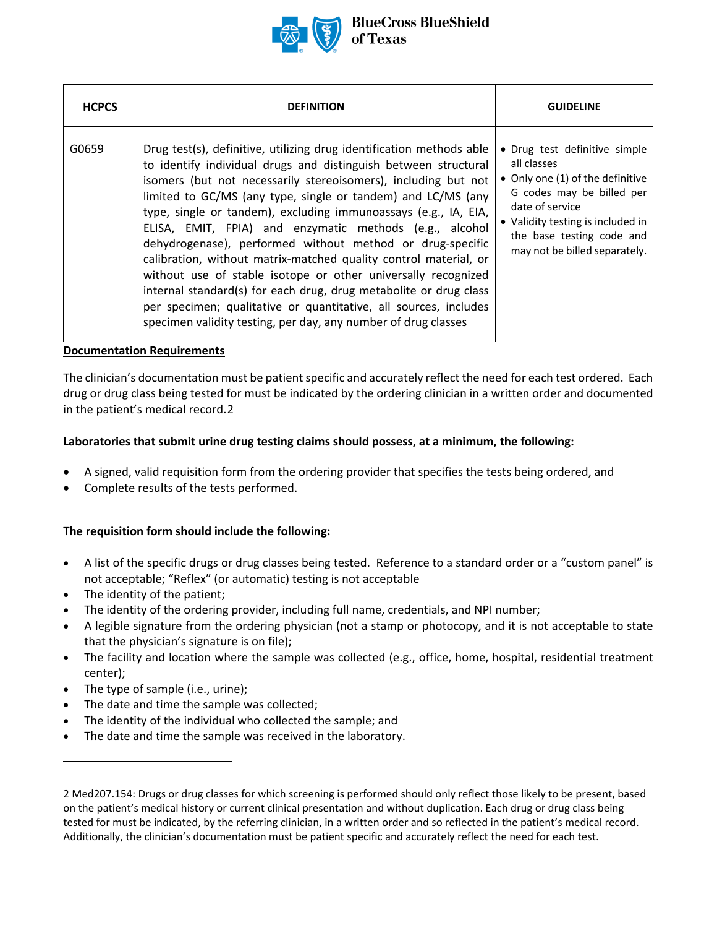

| <b>HCPCS</b> | <b>DEFINITION</b>                                                                                                                                                                                                                                                                                                                                                                                                                                                                                                                                                                                                                                                                                                                                                                                                    | <b>GUIDELINE</b>                                                                                                                                                                                                                    |
|--------------|----------------------------------------------------------------------------------------------------------------------------------------------------------------------------------------------------------------------------------------------------------------------------------------------------------------------------------------------------------------------------------------------------------------------------------------------------------------------------------------------------------------------------------------------------------------------------------------------------------------------------------------------------------------------------------------------------------------------------------------------------------------------------------------------------------------------|-------------------------------------------------------------------------------------------------------------------------------------------------------------------------------------------------------------------------------------|
| G0659        | Drug test(s), definitive, utilizing drug identification methods able<br>to identify individual drugs and distinguish between structural<br>isomers (but not necessarily stereoisomers), including but not<br>limited to GC/MS (any type, single or tandem) and LC/MS (any<br>type, single or tandem), excluding immunoassays (e.g., IA, EIA,<br>ELISA, EMIT, FPIA) and enzymatic methods (e.g., alcohol<br>dehydrogenase), performed without method or drug-specific<br>calibration, without matrix-matched quality control material, or<br>without use of stable isotope or other universally recognized<br>internal standard(s) for each drug, drug metabolite or drug class<br>per specimen; qualitative or quantitative, all sources, includes<br>specimen validity testing, per day, any number of drug classes | • Drug test definitive simple<br>all classes<br>• Only one (1) of the definitive<br>G codes may be billed per<br>date of service<br>• Validity testing is included in<br>the base testing code and<br>may not be billed separately. |

#### **Documentation Requirements**

The clinician's documentation must be patient specific and accurately reflect the need for each test ordered. Each drug or drug class being tested for must be indicated by the ordering clinician in a written order and documented in the patient's medical record.[2](#page-4-0) 

#### **Laboratories that submit urine drug testing claims should possess, at a minimum, the following:**

- A signed, valid requisition form from the ordering provider that specifies the tests being ordered, and
- Complete results of the tests performed.

#### **The requisition form should include the following:**

- A list of the specific drugs or drug classes being tested. Reference to a standard order or a "custom panel" is not acceptable; "Reflex" (or automatic) testing is not acceptable
- The identity of the patient;
- The identity of the ordering provider, including full name, credentials, and NPI number;
- A legible signature from the ordering physician (not a stamp or photocopy, and it is not acceptable to state that the physician's signature is on file);
- The facility and location where the sample was collected (e.g., office, home, hospital, residential treatment center);
- The type of sample (i.e., urine);
- The date and time the sample was collected;
- The identity of the individual who collected the sample; and
- The date and time the sample was received in the laboratory.

<span id="page-4-0"></span><sup>2</sup> Med207.154: Drugs or drug classes for which screening is performed should only reflect those likely to be present, based on the patient's medical history or current clinical presentation and without duplication. Each drug or drug class being tested for must be indicated, by the referring clinician, in a written order and so reflected in the patient's medical record. Additionally, the clinician's documentation must be patient specific and accurately reflect the need for each test.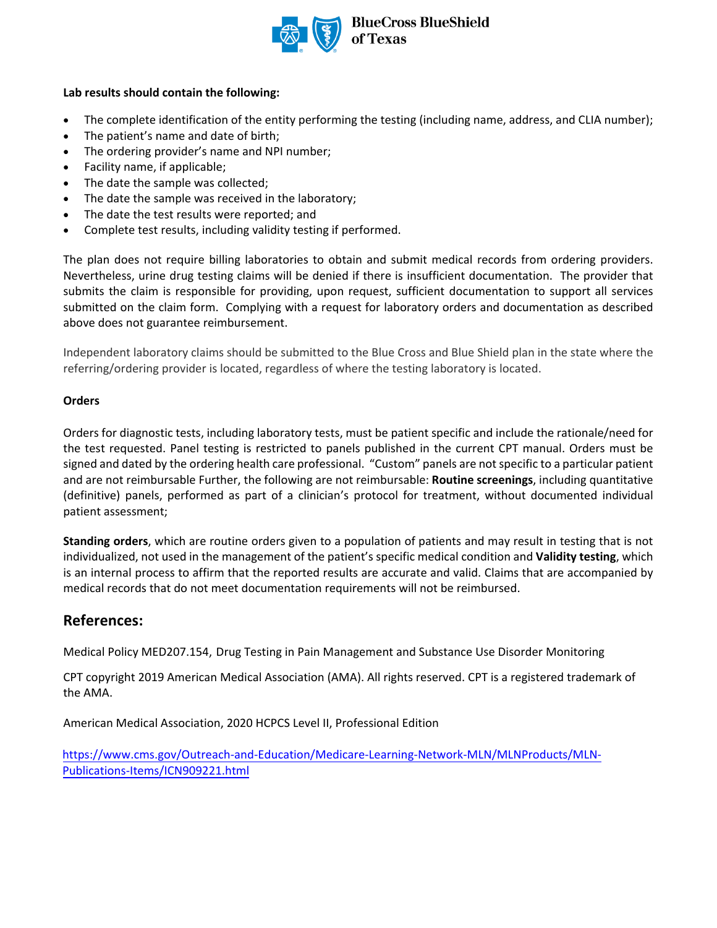

## **Lab results should contain the following:**

- The complete identification of the entity performing the testing (including name, address, and CLIA number);
- The patient's name and date of birth;
- The ordering provider's name and NPI number;
- Facility name, if applicable;
- The date the sample was collected;
- The date the sample was received in the laboratory;
- The date the test results were reported; and
- Complete test results, including validity testing if performed.

The plan does not require billing laboratories to obtain and submit medical records from ordering providers. Nevertheless, urine drug testing claims will be denied if there is insufficient documentation. The provider that submits the claim is responsible for providing, upon request, sufficient documentation to support all services submitted on the claim form. Complying with a request for laboratory orders and documentation as described above does not guarantee reimbursement.

Independent laboratory claims should be submitted to the Blue Cross and Blue Shield plan in the state where the referring/ordering provider is located, regardless of where the testing laboratory is located.

## **Orders**

Orders for diagnostic tests, including laboratory tests, must be patient specific and include the rationale/need for the test requested. Panel testing is restricted to panels published in the current CPT manual. Orders must be signed and dated by the ordering health care professional. "Custom" panels are not specific to a particular patient and are not reimbursable Further, the following are not reimbursable: **Routine screenings**, including quantitative (definitive) panels, performed as part of a clinician's protocol for treatment, without documented individual patient assessment;

**Standing orders**, which are routine orders given to a population of patients and may result in testing that is not individualized, not used in the management of the patient's specific medical condition and **Validity testing**, which is an internal process to affirm that the reported results are accurate and valid. Claims that are accompanied by medical records that do not meet documentation requirements will not be reimbursed.

# **References:**

Medical Policy MED207.154, Drug Testing in Pain Management and Substance Use Disorder Monitoring

CPT copyright 2019 American Medical Association (AMA). All rights reserved. CPT is a registered trademark of the AMA.

American Medical Association, 2020 HCPCS Level II, Professional Edition

[https://www.cms.gov/Outreach-and-Education/Medicare-Learning-Network-MLN/MLNProducts/MLN-](https://www.cms.gov/Outreach-and-Education/Medicare-Learning-Network-MLN/MLNProducts/MLN-Publications-Items/ICN909221.html)[Publications-Items/ICN909221.html](https://www.cms.gov/Outreach-and-Education/Medicare-Learning-Network-MLN/MLNProducts/MLN-Publications-Items/ICN909221.html)